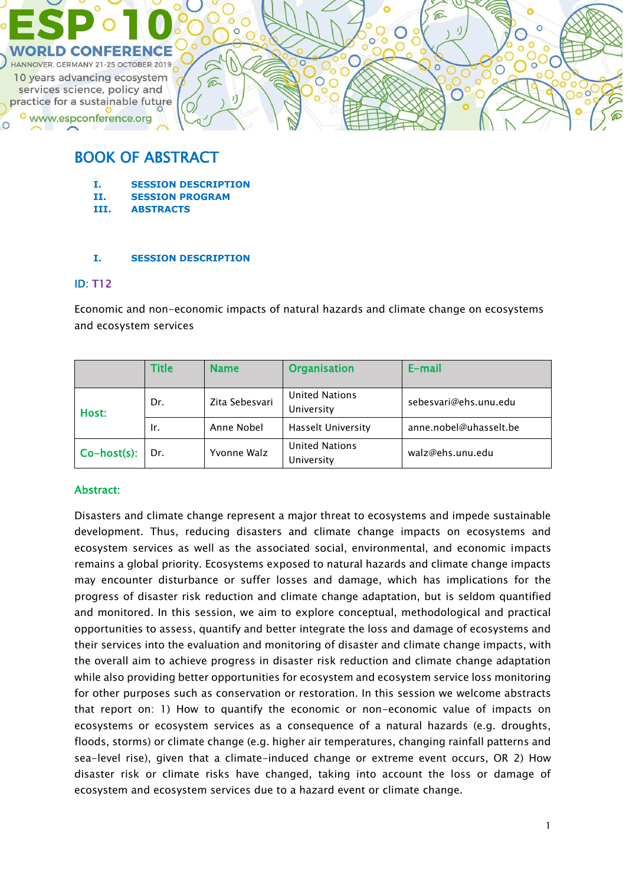

# BOOK OF ABSTRACT

- **I. SESSION DESCRIPTION**
- **II. SESSION PROGRAM**
- **III. ABSTRACTS**

#### **I. SESSION DESCRIPTION**

### ID: T12

Economic and non-economic impacts of natural hazards and climate change on ecosystems and ecosystem services

|                     | <b>Title</b> | <b>Name</b>    | <b>Organisation</b>                 | E-mail                 |
|---------------------|--------------|----------------|-------------------------------------|------------------------|
| Dr.<br>Host:<br>Ir. |              | Zita Sebesvari | <b>United Nations</b><br>University | sebesvari@ehs.unu.edu  |
|                     |              | Anne Nobel     | <b>Hasselt University</b>           | anne.nobel@uhasselt.be |
| $Co-host(s)$ :      | Dr.          | Yvonne Walz    | <b>United Nations</b><br>University | walz@ehs.unu.edu       |

### Abstract:

Disasters and climate change represent a major threat to ecosystems and impede sustainable development. Thus, reducing disasters and climate change impacts on ecosystems and ecosystem services as well as the associated social, environmental, and economic impacts remains a global priority. Ecosystems exposed to natural hazards and climate change impacts may encounter disturbance or suffer losses and damage, which has implications for the progress of disaster risk reduction and climate change adaptation, but is seldom quantified and monitored. In this session, we aim to explore conceptual, methodological and practical opportunities to assess, quantify and better integrate the loss and damage of ecosystems and their services into the evaluation and monitoring of disaster and climate change impacts, with the overall aim to achieve progress in disaster risk reduction and climate change adaptation while also providing better opportunities for ecosystem and ecosystem service loss monitoring for other purposes such as conservation or restoration. In this session we welcome abstracts that report on: 1) How to quantify the economic or non-economic value of impacts on ecosystems or ecosystem services as a consequence of a natural hazards (e.g. droughts, floods, storms) or climate change (e.g. higher air temperatures, changing rainfall patterns and sea-level rise), given that a climate-induced change or extreme event occurs, OR 2) How disaster risk or climate risks have changed, taking into account the loss or damage of ecosystem and ecosystem services due to a hazard event or climate change.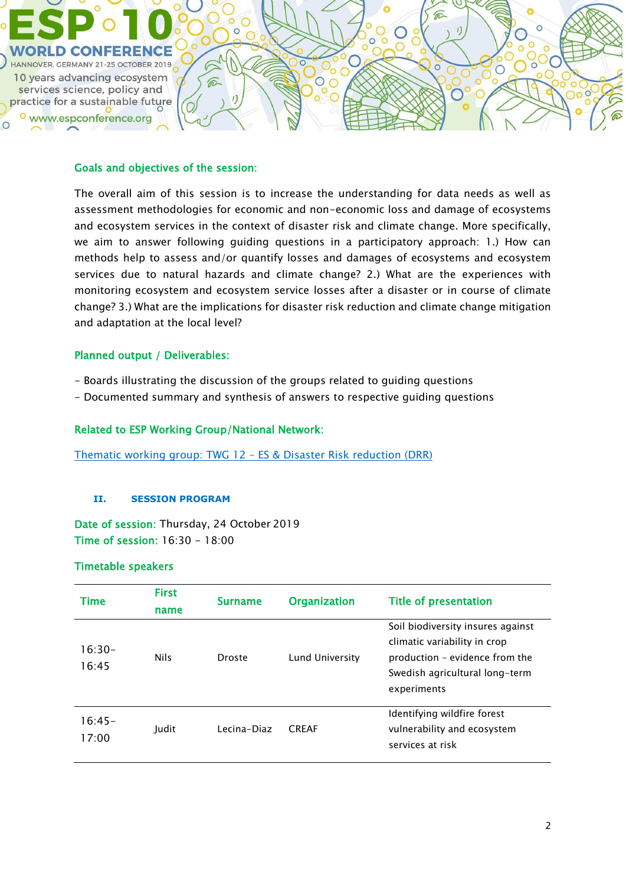

#### Goals and objectives of the session:

The overall aim of this session is to increase the understanding for data needs as well as assessment methodologies for economic and non-economic loss and damage of ecosystems and ecosystem services in the context of disaster risk and climate change. More specifically, we aim to answer following guiding questions in a participatory approach: 1.) How can methods help to assess and/or quantify losses and damages of ecosystems and ecosystem services due to natural hazards and climate change? 2.) What are the experiences with monitoring ecosystem and ecosystem service losses after a disaster or in course of climate change? 3.) What are the implications for disaster risk reduction and climate change mitigation and adaptation at the local level?

### Planned output / Deliverables:

- Boards illustrating the discussion of the groups related to guiding questions
- Documented summary and synthesis of answers to respective guiding questions

#### Related to ESP Working Group/National Network:

[Thematic working group: TWG 12](https://www.es-partnership.org/community/workings-groups/thematic-working-groups/twg-12-es-and-disaster-risk-reduction/) – ES & Disaster Risk reduction (DRR)

#### **II. SESSION PROGRAM**

Date of session: Thursday, 24 October 2019 Time of session: 16:30 - 18:00

#### Timetable speakers

| <b>Time</b>       | <b>First</b><br>name | <b>Surname</b> | <b>Organization</b> | <b>Title of presentation</b>                                                                                                                         |
|-------------------|----------------------|----------------|---------------------|------------------------------------------------------------------------------------------------------------------------------------------------------|
| $16:30-$<br>16:45 | <b>Nils</b>          | Droste         | Lund University     | Soil biodiversity insures against<br>climatic variability in crop<br>production - evidence from the<br>Swedish agricultural long-term<br>experiments |
| $16:45-$<br>17:00 | Judit                | Lecina-Diaz    | <b>CRFAF</b>        | Identifying wildfire forest<br>vulnerability and ecosystem<br>services at risk                                                                       |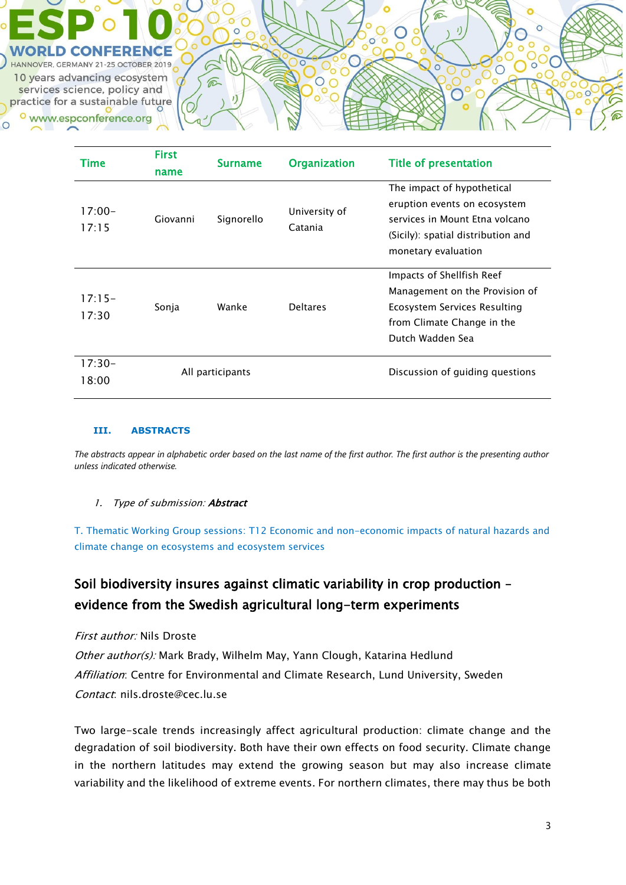**IOVER, GERMANY 21-25 OCTOBER 2019** 10 years advancing ecosystem services science, policy and practice for a sustainable future www.espconference.org

| Time              | <b>First</b><br>name | <b>Surname</b> | <b>Organization</b>      | <b>Title of presentation</b>                                                                                                                              |
|-------------------|----------------------|----------------|--------------------------|-----------------------------------------------------------------------------------------------------------------------------------------------------------|
| $17:00-$<br>17:15 | Giovanni             | Signorello     | University of<br>Catania | The impact of hypothetical<br>eruption events on ecosystem<br>services in Mount Etna volcano<br>(Sicily): spatial distribution and<br>monetary evaluation |
| $17:15-$<br>17:30 | Sonja                | Wanke          | <b>Deltares</b>          | Impacts of Shellfish Reef<br>Management on the Provision of<br>Ecosystem Services Resulting<br>from Climate Change in the<br>Dutch Wadden Sea             |
| $17:30-$<br>18:00 | All participants     |                |                          | Discussion of guiding questions                                                                                                                           |

#### **III. ABSTRACTS**

The abstracts appear in alphabetic order based on the last name of the first author. The first author is the presenting author *unless indicated otherwise.*

#### 1. Type of submission: **Abstract**

T. Thematic Working Group sessions: T12 Economic and non-economic impacts of natural hazards and climate change on ecosystems and ecosystem services

# Soil biodiversity insures against climatic variability in crop production – evidence from the Swedish agricultural long-term experiments

#### First author: Nils Droste

Other author(s): Mark Brady, Wilhelm May, Yann Clough, Katarina Hedlund Affiliation: Centre for Environmental and Climate Research, Lund University, Sweden Contact: nils.droste@cec.lu.se

Two large-scale trends increasingly affect agricultural production: climate change and the degradation of soil biodiversity. Both have their own effects on food security. Climate change in the northern latitudes may extend the growing season but may also increase climate variability and the likelihood of extreme events. For northern climates, there may thus be both

 $\subset$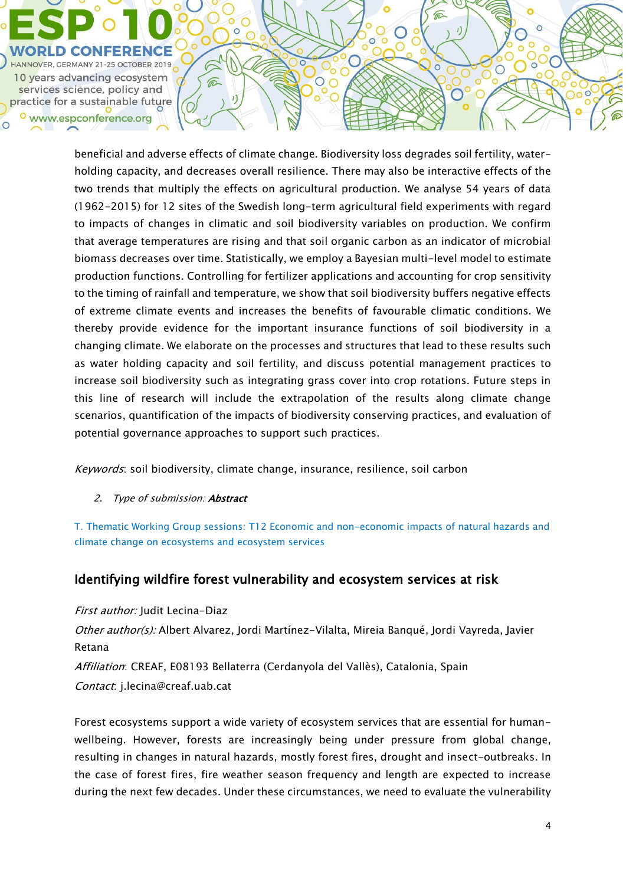

beneficial and adverse effects of climate change. Biodiversity loss degrades soil fertility, waterholding capacity, and decreases overall resilience. There may also be interactive effects of the two trends that multiply the effects on agricultural production. We analyse 54 years of data (1962-2015) for 12 sites of the Swedish long-term agricultural field experiments with regard to impacts of changes in climatic and soil biodiversity variables on production. We confirm that average temperatures are rising and that soil organic carbon as an indicator of microbial biomass decreases over time. Statistically, we employ a Bayesian multi-level model to estimate production functions. Controlling for fertilizer applications and accounting for crop sensitivity to the timing of rainfall and temperature, we show that soil biodiversity buffers negative effects of extreme climate events and increases the benefits of favourable climatic conditions. We thereby provide evidence for the important insurance functions of soil biodiversity in a changing climate. We elaborate on the processes and structures that lead to these results such as water holding capacity and soil fertility, and discuss potential management practices to increase soil biodiversity such as integrating grass cover into crop rotations. Future steps in this line of research will include the extrapolation of the results along climate change scenarios, quantification of the impacts of biodiversity conserving practices, and evaluation of potential governance approaches to support such practices.

 $\subset$ 

 $\bigcap$ 

⋒

 $\bigcirc$ 

Keywords: soil biodiversity, climate change, insurance, resilience, soil carbon

2. Type of submission: **Abstract** 

T. Thematic Working Group sessions: T12 Economic and non-economic impacts of natural hazards and climate change on ecosystems and ecosystem services

## Identifying wildfire forest vulnerability and ecosystem services at risk

First author: Judit Lecina-Diaz Other author(s): Albert Alvarez, Jordi Martínez-Vilalta, Mireia Banqué, Jordi Vayreda, Javier Retana Affiliation: CREAF, E08193 Bellaterra (Cerdanyola del Vallès), Catalonia, Spain Contact: j.lecina@creaf.uab.cat

Forest ecosystems support a wide variety of ecosystem services that are essential for humanwellbeing. However, forests are increasingly being under pressure from global change, resulting in changes in natural hazards, mostly forest fires, drought and insect-outbreaks. In the case of forest fires, fire weather season frequency and length are expected to increase during the next few decades. Under these circumstances, we need to evaluate the vulnerability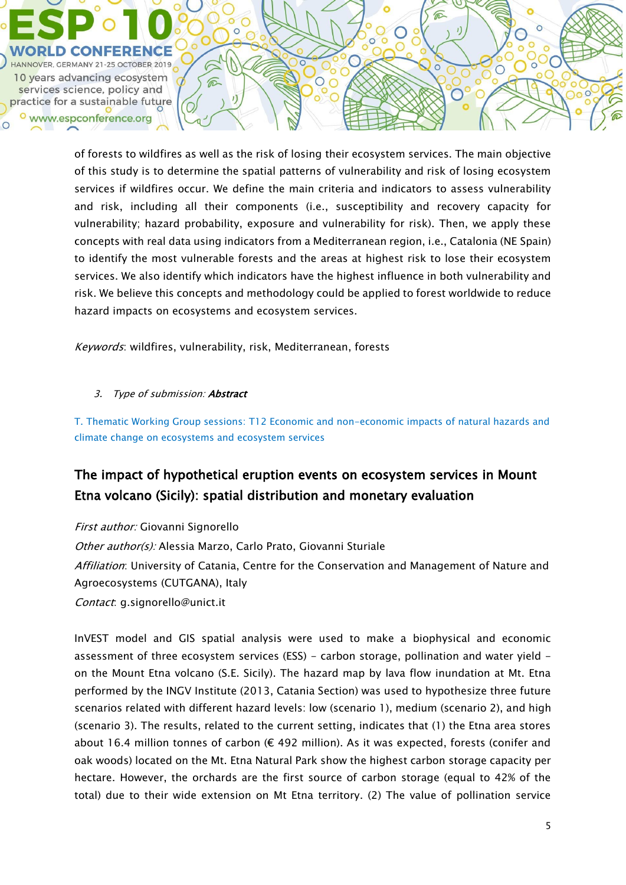

of forests to wildfires as well as the risk of losing their ecosystem services. The main objective of this study is to determine the spatial patterns of vulnerability and risk of losing ecosystem services if wildfires occur. We define the main criteria and indicators to assess vulnerability and risk, including all their components (i.e., susceptibility and recovery capacity for vulnerability; hazard probability, exposure and vulnerability for risk). Then, we apply these concepts with real data using indicators from a Mediterranean region, i.e., Catalonia (NE Spain) to identify the most vulnerable forests and the areas at highest risk to lose their ecosystem services. We also identify which indicators have the highest influence in both vulnerability and risk. We believe this concepts and methodology could be applied to forest worldwide to reduce hazard impacts on ecosystems and ecosystem services.

Keywords: wildfires, vulnerability, risk, Mediterranean, forests

### 3. Type of submission: **Abstract**

T. Thematic Working Group sessions: T12 Economic and non-economic impacts of natural hazards and climate change on ecosystems and ecosystem services

# The impact of hypothetical eruption events on ecosystem services in Mount Etna volcano (Sicily): spatial distribution and monetary evaluation

First author: Giovanni Signorello Other author(s): Alessia Marzo, Carlo Prato, Giovanni Sturiale Affiliation: University of Catania, Centre for the Conservation and Management of Nature and Agroecosystems (CUTGANA), Italy Contact: g.signorello@unict.it

InVEST model and GIS spatial analysis were used to make a biophysical and economic assessment of three ecosystem services (ESS) - carbon storage, pollination and water yield on the Mount Etna volcano (S.E. Sicily). The hazard map by lava flow inundation at Mt. Etna performed by the INGV Institute (2013, Catania Section) was used to hypothesize three future scenarios related with different hazard levels: low (scenario 1), medium (scenario 2), and high (scenario 3). The results, related to the current setting, indicates that (1) the Etna area stores about 16.4 million tonnes of carbon ( $\epsilon$  492 million). As it was expected, forests (conifer and oak woods) located on the Mt. Etna Natural Park show the highest carbon storage capacity per hectare. However, the orchards are the first source of carbon storage (equal to 42% of the total) due to their wide extension on Mt Etna territory. (2) The value of pollination service

 $\bigcirc$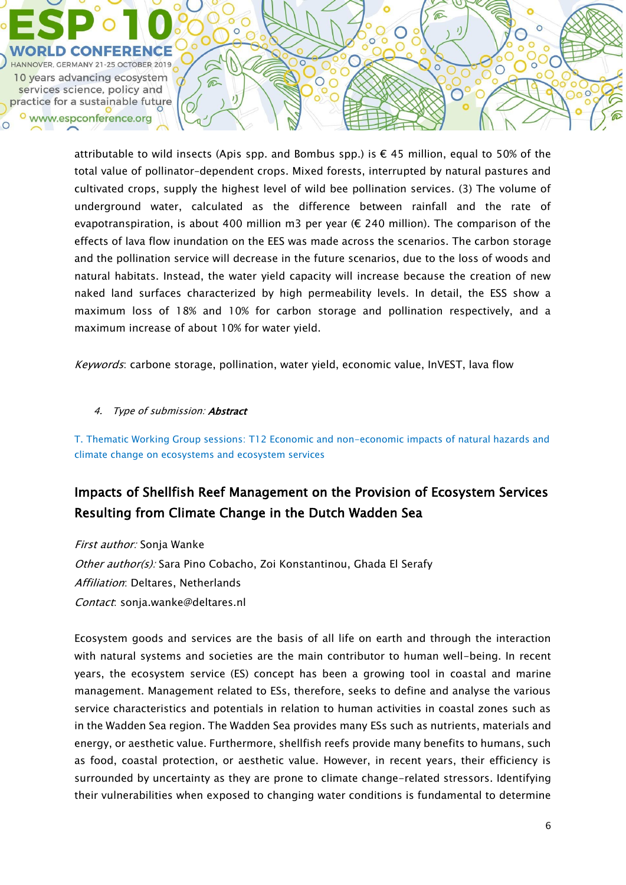

attributable to wild insects (Apis spp. and Bombus spp.) is  $\epsilon$  45 million, equal to 50% of the total value of pollinator–dependent crops. Mixed forests, interrupted by natural pastures and cultivated crops, supply the highest level of wild bee pollination services. (3) The volume of underground water, calculated as the difference between rainfall and the rate of evapotranspiration, is about 400 million m3 per year (€ 240 million). The comparison of the effects of lava flow inundation on the EES was made across the scenarios. The carbon storage and the pollination service will decrease in the future scenarios, due to the loss of woods and natural habitats. Instead, the water yield capacity will increase because the creation of new naked land surfaces characterized by high permeability levels. In detail, the ESS show a maximum loss of 18% and 10% for carbon storage and pollination respectively, and a maximum increase of about 10% for water yield.

Keywords: carbone storage, pollination, water yield, economic value, InVEST, lava flow

#### 4. Type of submission: **Abstract**

T. Thematic Working Group sessions: T12 Economic and non-economic impacts of natural hazards and climate change on ecosystems and ecosystem services

# Impacts of Shellfish Reef Management on the Provision of Ecosystem Services Resulting from Climate Change in the Dutch Wadden Sea

First author: Sonja Wanke Other author(s): Sara Pino Cobacho, Zoi Konstantinou, Ghada El Serafy Affiliation: Deltares, Netherlands Contact: sonja.wanke@deltares.nl

Ecosystem goods and services are the basis of all life on earth and through the interaction with natural systems and societies are the main contributor to human well-being. In recent years, the ecosystem service (ES) concept has been a growing tool in coastal and marine management. Management related to ESs, therefore, seeks to define and analyse the various service characteristics and potentials in relation to human activities in coastal zones such as in the Wadden Sea region. The Wadden Sea provides many ESs such as nutrients, materials and energy, or aesthetic value. Furthermore, shellfish reefs provide many benefits to humans, such as food, coastal protection, or aesthetic value. However, in recent years, their efficiency is surrounded by uncertainty as they are prone to climate change-related stressors. Identifying their vulnerabilities when exposed to changing water conditions is fundamental to determine